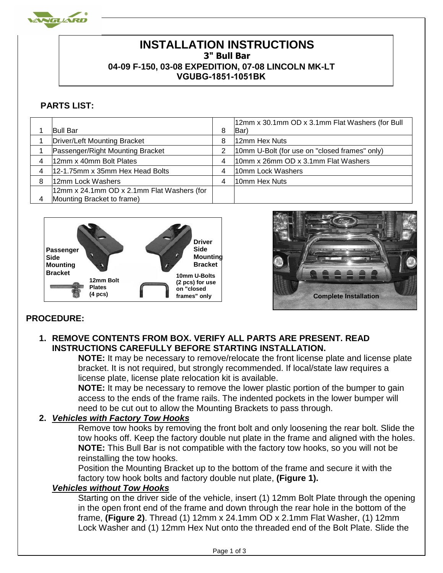

# **INSTALLATION INSTRUCTIONS 3" Bull Bar 04-09 F-150, 03-08 EXPEDITION, 07-08 LINCOLN MK-LT VGUBG-1851-1051BK**

## **PARTS LIST:**

|   | <b>Bull Bar</b>                            |   | 12mm x 30.1mm OD x 3.1mm Flat Washers (for Bull<br>(Bar |
|---|--------------------------------------------|---|---------------------------------------------------------|
|   |                                            |   |                                                         |
|   | Driver/Left Mounting Bracket               | 8 | 12mm Hex Nuts                                           |
|   | Passenger/Right Mounting Bracket           |   | 10mm U-Bolt (for use on "closed frames" only)           |
|   | 12mm x 40mm Bolt Plates                    | 4 | 10mm x 26mm OD x 3.1mm Flat Washers                     |
|   | 12-1.75mm x 35mm Hex Head Bolts            | 4 | 10mm Lock Washers                                       |
| 8 | 12mm Lock Washers                          | 4 | 10mm Hex Nuts                                           |
|   | 12mm x 24.1mm OD x 2.1mm Flat Washers (for |   |                                                         |
|   | Mounting Bracket to frame)                 |   |                                                         |





# **PROCEDURE:**

#### **1. REMOVE CONTENTS FROM BOX. VERIFY ALL PARTS ARE PRESENT. READ INSTRUCTIONS CAREFULLY BEFORE STARTING INSTALLATION.**

**NOTE:** It may be necessary to remove/relocate the front license plate and license plate bracket. It is not required, but strongly recommended. If local/state law requires a license plate, license plate relocation kit is available.

**NOTE:** It may be necessary to remove the lower plastic portion of the bumper to gain access to the ends of the frame rails. The indented pockets in the lower bumper will need to be cut out to allow the Mounting Brackets to pass through.

### **2.** *Vehicles with Factory Tow Hooks*

Remove tow hooks by removing the front bolt and only loosening the rear bolt. Slide the tow hooks off. Keep the factory double nut plate in the frame and aligned with the holes. **NOTE:** This Bull Bar is not compatible with the factory tow hooks, so you will not be reinstalling the tow hooks.

Position the Mounting Bracket up to the bottom of the frame and secure it with the factory tow hook bolts and factory double nut plate, **(Figure 1).** 

#### *Vehicles without Tow Hooks*

Starting on the driver side of the vehicle, insert (1) 12mm Bolt Plate through the opening in the open front end of the frame and down through the rear hole in the bottom of the frame, **(Figure 2)**. Thread (1) 12mm x 24.1mm OD x 2.1mm Flat Washer, (1) 12mm Lock Washer and (1) 12mm Hex Nut onto the threaded end of the Bolt Plate. Slide the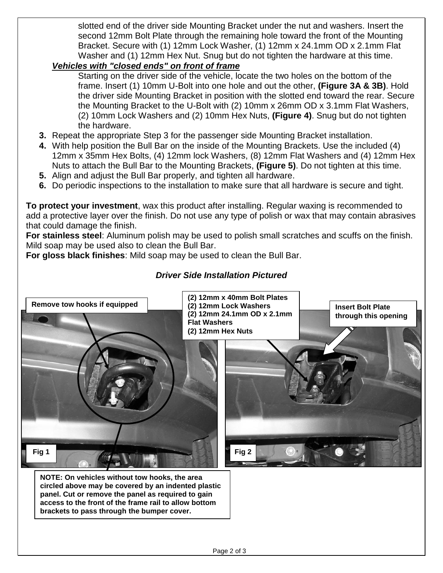slotted end of the driver side Mounting Bracket under the nut and washers. Insert the second 12mm Bolt Plate through the remaining hole toward the front of the Mounting Bracket. Secure with (1) 12mm Lock Washer, (1) 12mm x 24.1mm OD x 2.1mm Flat Washer and (1) 12mm Hex Nut. Snug but do not tighten the hardware at this time.

### *Vehicles with "closed ends" on front of frame*

Starting on the driver side of the vehicle, locate the two holes on the bottom of the frame. Insert (1) 10mm U-Bolt into one hole and out the other, **(Figure 3A & 3B)**. Hold the driver side Mounting Bracket in position with the slotted end toward the rear. Secure the Mounting Bracket to the U-Bolt with (2) 10mm x 26mm OD x 3.1mm Flat Washers, (2) 10mm Lock Washers and (2) 10mm Hex Nuts, **(Figure 4)**. Snug but do not tighten the hardware.

- **3.** Repeat the appropriate Step 3 for the passenger side Mounting Bracket installation.
- **4.** With help position the Bull Bar on the inside of the Mounting Brackets. Use the included (4) 12mm x 35mm Hex Bolts, (4) 12mm lock Washers, (8) 12mm Flat Washers and (4) 12mm Hex Nuts to attach the Bull Bar to the Mounting Brackets, **(Figure 5)**. Do not tighten at this time.
- **5.** Align and adjust the Bull Bar properly, and tighten all hardware.
- **6.** Do periodic inspections to the installation to make sure that all hardware is secure and tight.

**To protect your investment**, wax this product after installing. Regular waxing is recommended to add a protective layer over the finish. Do not use any type of polish or wax that may contain abrasives that could damage the finish.

**For stainless steel**: Aluminum polish may be used to polish small scratches and scuffs on the finish. Mild soap may be used also to clean the Bull Bar.

**For gloss black finishes**: Mild soap may be used to clean the Bull Bar.

### *Driver Side Installation Pictured*